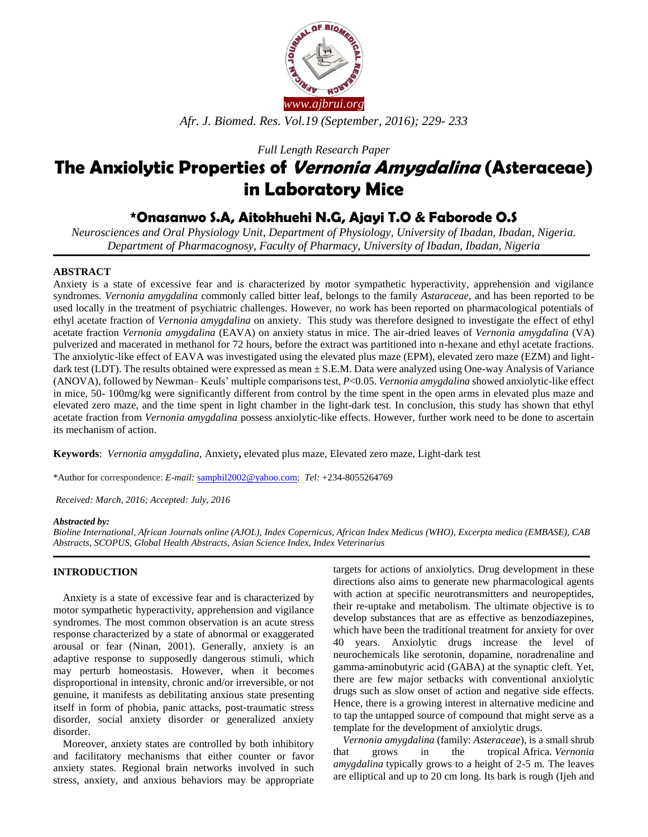

*Afr. J. Biomed. Res. Vol.19 (September, 2016); 229- 233*

*Full Length Research Paper*

# **The Anxiolytic Properties of Vernonia Amygdalina (Asteraceae) in Laboratory Mice**

# **\*Onasanwo S.A, Aitokhuehi N.G, Ajayi T.O & Faborode O.S**

*Neurosciences and Oral Physiology Unit, Department of Physiology, University of Ibadan, Ibadan, Nigeria. Department of Pharmacognosy, Faculty of Pharmacy, University of Ibadan, Ibadan, Nigeria*

# **ABSTRACT**

Anxiety is a state of excessive fear and is characterized by motor sympathetic hyperactivity, apprehension and vigilance syndromes. *Vernonia amygdalina* commonly called bitter leaf, belongs to the family *Astaraceae*, and has been reported to be used locally in the treatment of psychiatric challenges. However, no work has been reported on pharmacological potentials of ethyl acetate fraction of *Vernonia amygdalina* on anxiety. This study was therefore designed to investigate the effect of ethyl acetate fraction *Vernonia amygdalina* (EAVA) on anxiety status in mice. The air-dried leaves of *Vernonia amygdalina* (VA) pulverized and macerated in methanol for 72 hours, before the extract was partitioned into n-hexane and ethyl acetate fractions. The anxiolytic-like effect of EAVA was investigated using the elevated plus maze (EPM), elevated zero maze (EZM) and lightdark test (LDT). The results obtained were expressed as mean  $\pm$  S.E.M. Data were analyzed using One-way Analysis of Variance (ANOVA), followed by Newman– Keuls' multiple comparisons test, *P*<0.05. *Vernonia amygdalina* showed anxiolytic-like effect in mice, 50- 100mg/kg were significantly different from control by the time spent in the open arms in elevated plus maze and elevated zero maze, and the time spent in light chamber in the light-dark test. In conclusion, this study has shown that ethyl acetate fraction from *Vernonia amygdalina* possess anxiolytic-like effects. However, further work need to be done to ascertain its mechanism of action.

**Keywords**:*Vernonia amygdalina,* Anxiety**,** elevated plus maze, Elevated zero maze, Light-dark test

\*Author for correspondence: *E-mail:* [samphil2002@yahoo.com;](mailto:samphil2002@yahoo.com) *Tel:* +234-8055264769

*Received: March, 2016; Accepted: July, 2016*

#### *Abstracted by:*

*Bioline International, African Journals online (AJOL), Index Copernicus, African Index Medicus (WHO), Excerpta medica (EMBASE), CAB Abstracts, SCOPUS, Global Health Abstracts, Asian Science Index, Index Veterinarius*

# **INTRODUCTION**

Anxiety is a state of excessive fear and is characterized by motor sympathetic hyperactivity, apprehension and vigilance syndromes. The most common observation is an acute stress response characterized by a state of abnormal or exaggerated arousal or fear (Ninan, 2001). Generally, anxiety is an adaptive response to supposedly dangerous stimuli, which may perturb homeostasis. However, when it becomes disproportional in intensity, chronic and/or irreversible, or not genuine, it manifests as debilitating anxious state presenting itself in form of phobia, panic attacks, post-traumatic stress disorder, social anxiety disorder or generalized anxiety disorder.

Moreover, anxiety states are controlled by both inhibitory and facilitatory mechanisms that either counter or favor anxiety states. Regional brain networks involved in such stress, anxiety, and anxious behaviors may be appropriate targets for actions of anxiolytics. Drug development in these directions also aims to generate new pharmacological agents with action at specific neurotransmitters and neuropeptides, their re-uptake and metabolism. The ultimate objective is to develop substances that are as effective as benzodiazepines, which have been the traditional treatment for anxiety for over 40 years. Anxiolytic drugs increase the level of neurochemicals like serotonin, dopamine, noradrenaline and gamma-aminobutyric acid (GABA) at the synaptic cleft. Yet, there are few major setbacks with conventional anxiolytic drugs such as slow onset of action and negative side effects. Hence, there is a growing interest in alternative medicine and to tap the untapped source of compound that might serve as a template for the development of anxiolytic drugs.

*Vernonia amygdalina* (family: *Asteraceae*), is a small shrub that grows in the tropical Africa. *Vernonia amygdalina* typically grows to a height of 2-5 m. The leaves are elliptical and up to 20 cm long. Its bark is rough (Ijeh and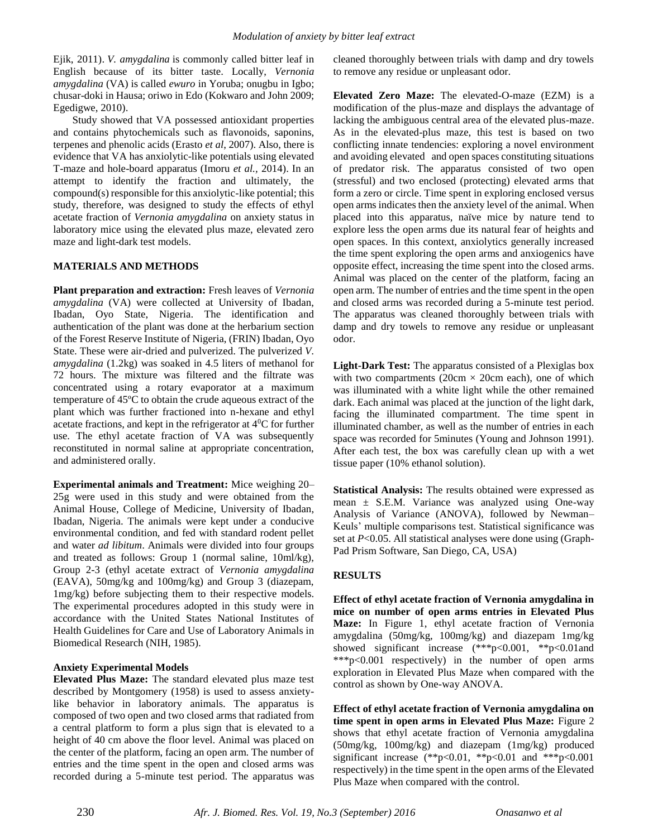Ejik, 2011). *V. amygdalina* is commonly called bitter leaf in English because of its bitter taste. Locally, *Vernonia amygdalina* (VA) is called *ewuro* in Yoruba; onugbu in Igbo; chusar-doki in Hausa; oriwo in Edo (Kokwaro and John 2009; Egedigwe, 2010).

Study showed that VA possessed antioxidant properties and contains phytochemicals such as flavonoids, saponins, terpenes and phenolic acids (Erasto *et al*, 2007). Also, there is evidence that VA has anxiolytic-like potentials using elevated T-maze and hole-board apparatus (Imoru *et al.,* 2014). In an attempt to identify the fraction and ultimately, the compound(s) responsible for this anxiolytic-like potential; this study, therefore, was designed to study the effects of ethyl acetate fraction of *Vernonia amygdalina* on anxiety status in laboratory mice using the elevated plus maze, elevated zero maze and light-dark test models.

# **MATERIALS AND METHODS**

**Plant preparation and extraction:** Fresh leaves of *Vernonia amygdalina* (VA) were collected at University of Ibadan, Ibadan, Oyo State, Nigeria. The identification and authentication of the plant was done at the herbarium section of the Forest Reserve Institute of Nigeria, (FRIN) Ibadan, Oyo State. These were air-dried and pulverized. The pulverized *V. amygdalina* (1.2kg) was soaked in 4.5 liters of methanol for 72 hours. The mixture was filtered and the filtrate was concentrated using a rotary evaporator at a maximum temperature of 45ºC to obtain the crude aqueous extract of the plant which was further fractioned into n-hexane and ethyl acetate fractions, and kept in the refrigerator at  $4^{\circ}$ C for further use. The ethyl acetate fraction of VA was subsequently reconstituted in normal saline at appropriate concentration, and administered orally.

**Experimental animals and Treatment:** Mice weighing 20– 25g were used in this study and were obtained from the Animal House, College of Medicine, University of Ibadan, Ibadan, Nigeria. The animals were kept under a conducive environmental condition, and fed with standard rodent pellet and water *ad libitum*. Animals were divided into four groups and treated as follows: Group 1 (normal saline, 10ml/kg), Group 2-3 (ethyl acetate extract of *Vernonia amygdalina*  (EAVA), 50mg/kg and 100mg/kg) and Group 3 (diazepam, 1mg/kg) before subjecting them to their respective models. The experimental procedures adopted in this study were in accordance with the United States National Institutes of Health Guidelines for Care and Use of Laboratory Animals in Biomedical Research (NIH, 1985).

#### **Anxiety Experimental Models**

**Elevated Plus Maze:** The standard elevated plus maze test described by Montgomery (1958) is used to assess anxietylike behavior in laboratory animals. The apparatus is composed of two open and two closed arms that radiated from a central platform to form a plus sign that is elevated to a height of 40 cm above the floor level. Animal was placed on the center of the platform, facing an open arm. The number of entries and the time spent in the open and closed arms was recorded during a 5-minute test period. The apparatus was cleaned thoroughly between trials with damp and dry towels to remove any residue or unpleasant odor.

**Elevated Zero Maze:** The elevated-O-maze (EZM) is a modification of the plus-maze and displays the advantage of lacking the ambiguous central area of the elevated plus-maze. As in the elevated-plus maze, this test is based on two conflicting innate tendencies: exploring a novel environment and avoiding elevated and open spaces constituting situations of predator risk. The apparatus consisted of two open (stressful) and two enclosed (protecting) elevated arms that form a zero or circle. Time spent in exploring enclosed versus open arms indicates then the anxiety level of the animal. When placed into this apparatus, naïve mice by nature tend to explore less the open arms due its natural fear of heights and open spaces. In this context, anxiolytics generally increased the time spent exploring the open arms and anxiogenics have opposite effect, increasing the time spent into the closed arms. Animal was placed on the center of the platform, facing an open arm. The number of entries and the time spent in the open and closed arms was recorded during a 5-minute test period. The apparatus was cleaned thoroughly between trials with damp and dry towels to remove any residue or unpleasant odor.

**Light-Dark Test:** The apparatus consisted of a Plexiglas box with two compartments ( $20 \text{cm} \times 20 \text{cm}$  each), one of which was illuminated with a white light while the other remained dark. Each animal was placed at the junction of the light dark, facing the illuminated compartment. The time spent in illuminated chamber, as well as the number of entries in each space was recorded for 5minutes (Young and Johnson 1991). After each test, the box was carefully clean up with a wet tissue paper (10% ethanol solution).

**Statistical Analysis:** The results obtained were expressed as mean  $\pm$  S.E.M. Variance was analyzed using One-way Analysis of Variance (ANOVA), followed by Newman– Keuls' multiple comparisons test. Statistical significance was set at *P*<0.05. All statistical analyses were done using (Graph-Pad Prism Software, San Diego, CA, USA)

# **RESULTS**

**Effect of ethyl acetate fraction of Vernonia amygdalina in mice on number of open arms entries in Elevated Plus Maze:** In Figure 1, ethyl acetate fraction of Vernonia amygdalina (50mg/kg, 100mg/kg) and diazepam 1mg/kg showed significant increase (\*\*\*p<0.001, \*\*p<0.01and \*\*\*p<0.001 respectively) in the number of open arms exploration in Elevated Plus Maze when compared with the control as shown by One-way ANOVA.

**Effect of ethyl acetate fraction of Vernonia amygdalina on time spent in open arms in Elevated Plus Maze:** Figure 2 shows that ethyl acetate fraction of Vernonia amygdalina (50mg/kg, 100mg/kg) and diazepam (1mg/kg) produced significant increase (\*\*p<0.01, \*\*p<0.01 and \*\*\*p<0.001 respectively) in the time spent in the open arms of the Elevated Plus Maze when compared with the control.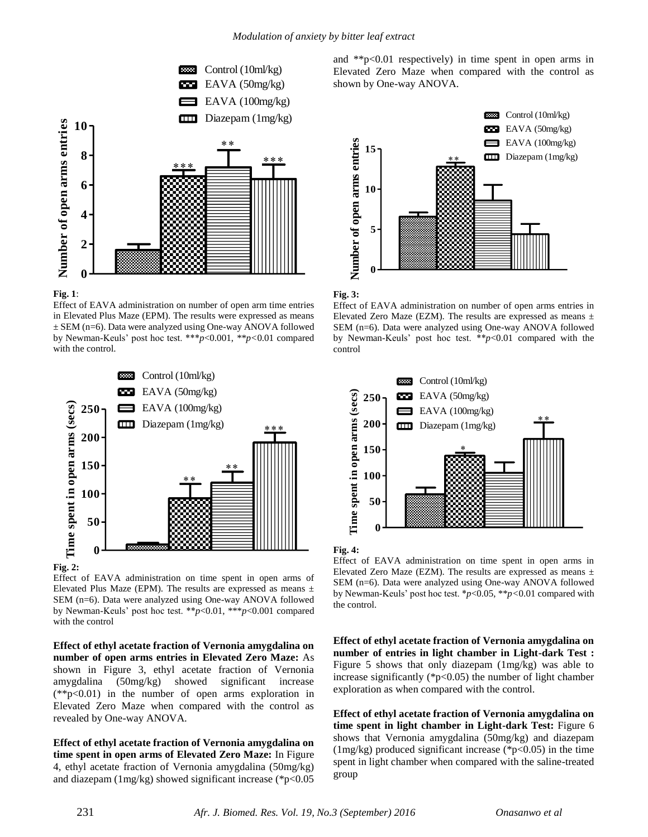

#### **Fig. 1**:

Effect of EAVA administration on number of open arm time entries in Elevated Plus Maze (EPM). The results were expressed as means ± SEM (n=6). Data were analyzed using One-way ANOVA followed by Newman-Keuls' post hoc test. \*\*\**p*<0.001, *\*\*p<*0.01 compared with the control.



#### **Fig. 2:**

Effect of EAVA administration on time spent in open arms of Elevated Plus Maze (EPM). The results are expressed as means  $\pm$ SEM (n=6). Data were analyzed using One-way ANOVA followed by Newman-Keuls' post hoc test. \*\**p*<0.01, \*\*\**p*<0.001 compared with the control

**Effect of ethyl acetate fraction of Vernonia amygdalina on number of open arms entries in Elevated Zero Maze:** As shown in Figure 3, ethyl acetate fraction of Vernonia amygdalina (50mg/kg) showed significant increase  $(*p<0.01)$  in the number of open arms exploration in Elevated Zero Maze when compared with the control as revealed by One-way ANOVA.

**Effect of ethyl acetate fraction of Vernonia amygdalina on time spent in open arms of Elevated Zero Maze:** In Figure 4, ethyl acetate fraction of Vernonia amygdalina (50mg/kg) and diazepam (1mg/kg) showed significant increase (\*p<0.05 and  $*p<0.01$  respectively) in time spent in open arms in Elevated Zero Maze when compared with the control as shown by One-way ANOVA.





Effect of EAVA administration on number of open arms entries in Elevated Zero Maze (EZM). The results are expressed as means  $\pm$ SEM (n=6). Data were analyzed using One-way ANOVA followed by Newman-Keuls' post hoc test. \*\**p*<0.01 compared with the control





Effect of EAVA administration on time spent in open arms in Elevated Zero Maze (EZM). The results are expressed as means  $\pm$ SEM (n=6). Data were analyzed using One-way ANOVA followed by Newman-Keuls' post hoc test. \**p*<0.05, \*\**p<*0.01 compared with the control.

**Effect of ethyl acetate fraction of Vernonia amygdalina on number of entries in light chamber in Light-dark Test :**  Figure 5 shows that only diazepam (1mg/kg) was able to increase significantly ( $p<0.05$ ) the number of light chamber exploration as when compared with the control.

**Effect of ethyl acetate fraction of Vernonia amygdalina on time spent in light chamber in Light-dark Test:** Figure 6 shows that Vernonia amygdalina (50mg/kg) and diazepam (1mg/kg) produced significant increase ( $p<0.05$ ) in the time spent in light chamber when compared with the saline-treated group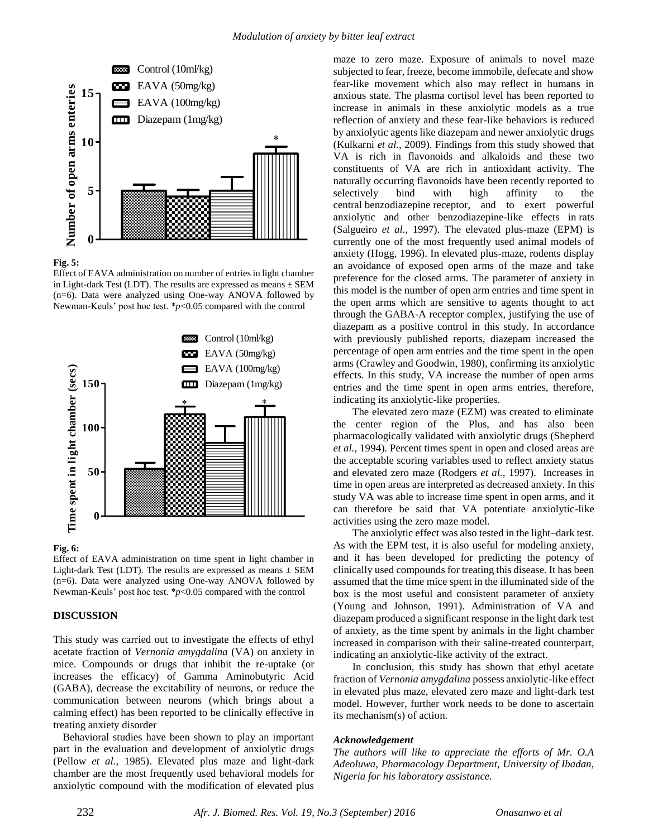

**Fig. 5:**

Effect of EAVA administration on number of entries in light chamber in Light-dark Test (LDT). The results are expressed as means  $\pm$  SEM (n=6). Data were analyzed using One-way ANOVA followed by Newman-Keuls' post hoc test. \**p*<0.05 compared with the control



#### **Fig. 6:**

Effect of EAVA administration on time spent in light chamber in Light-dark Test (LDT). The results are expressed as means  $\pm$  SEM (n=6). Data were analyzed using One-way ANOVA followed by Newman-Keuls' post hoc test. \**p*<0.05 compared with the control

#### **DISCUSSION**

This study was carried out to investigate the effects of ethyl acetate fraction of *Vernonia amygdalina* (VA) on anxiety in mice. Compounds or drugs that inhibit the re-uptake (or increases the efficacy) of Gamma Aminobutyric Acid (GABA), decrease the excitability of neurons, or reduce the communication between neurons (which brings about a calming effect) has been reported to be clinically effective in treating anxiety disorder

Behavioral studies have been shown to play an important part in the evaluation and development of anxiolytic drugs (Pellow *et al.,* 1985). Elevated plus maze and light-dark chamber are the most frequently used behavioral models for anxiolytic compound with the modification of elevated plus maze to zero maze. Exposure of animals to novel maze subjected to fear, freeze, become immobile, defecate and show fear-like movement which also may reflect in humans in anxious state. The plasma cortisol level has been reported to increase in animals in these anxiolytic models as a true reflection of anxiety and these fear-like behaviors is reduced by anxiolytic agents like diazepam and newer anxiolytic drugs (Kulkarni *et al.,* 2009). Findings from this study showed that VA is rich in flavonoids and alkaloids and these two constituents of VA are rich in antioxidant activity. The naturally occurring flavonoids have been recently reported to selectively bind with high affinity to the central benzodiazepine receptor, and to exert powerful anxiolytic and other benzodiazepine-like effects in rats (Salgueiro *et al.,* 1997). The elevated plus-maze (EPM) is currently one of the most frequently used animal models of anxiety (Hogg, 1996). In elevated plus-maze, rodents display an avoidance of exposed open arms of the maze and take preference for the closed arms. The parameter of anxiety in this model is the number of open arm entries and time spent in the open arms which are sensitive to agents thought to act through the GABA-A receptor complex, justifying the use of diazepam as a positive control in this study. In accordance with previously published reports, diazepam increased the percentage of open arm entries and the time spent in the open arms (Crawley and Goodwin, 1980), confirming its anxiolytic effects. In this study, VA increase the number of open arms entries and the time spent in open arms entries, therefore, indicating its anxiolytic-like properties.

The elevated zero maze (EZM) was created to eliminate the center region of the Plus, and has also been pharmacologically validated with anxiolytic drugs (Shepherd *et al.,* 1994). Percent times spent in open and closed areas are the acceptable scoring variables used to reflect anxiety status and elevated zero maze (Rodgers *et al.,* 1997). Increases in time in open areas are interpreted as decreased anxiety. In this study VA was able to increase time spent in open arms, and it can therefore be said that VA potentiate anxiolytic-like activities using the zero maze model.

The anxiolytic effect was also tested in the light–dark test. As with the EPM test, it is also useful for modeling anxiety, and it has been developed for predicting the potency of clinically used compounds for treating this disease. It has been assumed that the time mice spent in the illuminated side of the box is the most useful and consistent parameter of anxiety (Young and Johnson, 1991). Administration of VA and diazepam produced a significant response in the light dark test of anxiety, as the time spent by animals in the light chamber increased in comparison with their saline-treated counterpart, indicating an anxiolytic-like activity of the extract.

In conclusion, this study has shown that ethyl acetate fraction of *Vernonia amygdalina* possess anxiolytic-like effect in elevated plus maze, elevated zero maze and light-dark test model. However, further work needs to be done to ascertain its mechanism(s) of action.

#### *Acknowledgement*

*The authors will like to appreciate the efforts of Mr. O.A Adeoluwa, Pharmacology Department, University of Ibadan, Nigeria for his laboratory assistance.*